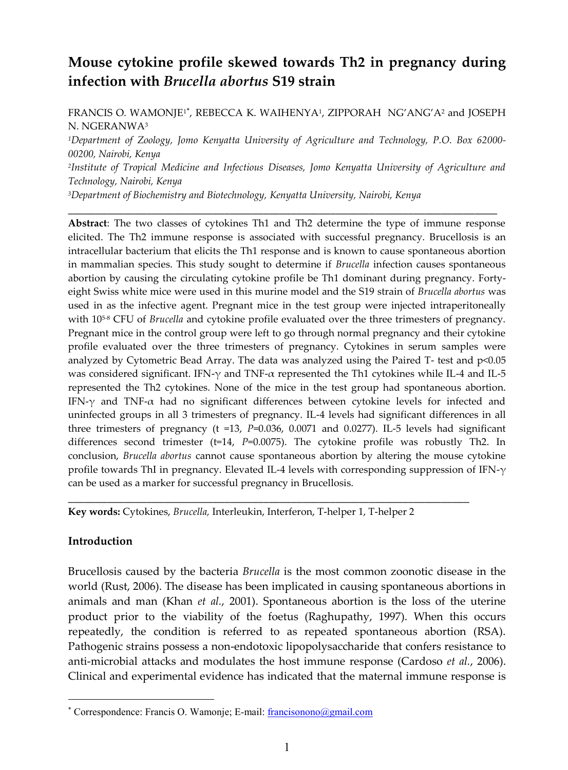# **Mouse cytokine profile skewed towards Th2 in pregnancy during infection with** *Brucella abortus* **S19 strain**

FRANCIS O. WAMONJE<sup>1\*</sup>, REBECCA K. WAIHENYA<sup>1</sup>, ZIPPORAH NG'ANG'A<sup>2</sup> and JOSEPH N. NGERANWA<sup>3</sup>

*<sup>1</sup>Department of Zoology, Jomo Kenyatta University of Agriculture and Technology, P.O. Box 62000- 00200, Nairobi, Kenya*

*2 Institute of Tropical Medicine and Infectious Diseases, Jomo Kenyatta University of Agriculture and Technology, Nairobi, Kenya*

**\_\_\_\_\_\_\_\_\_\_\_\_\_\_\_\_\_\_\_\_\_\_\_\_\_\_\_\_\_\_\_\_\_\_\_\_\_\_\_\_\_\_\_\_\_\_\_\_\_\_\_\_\_\_\_\_\_\_\_\_\_\_\_\_\_\_\_\_\_\_\_\_\_\_\_\_\_**

*<sup>3</sup>Department of Biochemistry and Biotechnology, Kenyatta University, Nairobi, Kenya*

**Abstract**: The two classes of cytokines Th1 and Th2 determine the type of immune response elicited. The Th2 immune response is associated with successful pregnancy. Brucellosis is an intracellular bacterium that elicits the Th1 response and is known to cause spontaneous abortion in mammalian species. This study sought to determine if *Brucella* infection causes spontaneous abortion by causing the circulating cytokine profile be Th1 dominant during pregnancy. Fortyeight Swiss white mice were used in this murine model and the S19 strain of *Brucella abortus* was used in as the infective agent. Pregnant mice in the test group were injected intraperitoneally with 105-8 CFU of *Brucella* and cytokine profile evaluated over the three trimesters of pregnancy. Pregnant mice in the control group were left to go through normal pregnancy and their cytokine profile evaluated over the three trimesters of pregnancy. Cytokines in serum samples were analyzed by Cytometric Bead Array. The data was analyzed using the Paired T- test and p<0.05 was considered significant. IFN- $\gamma$  and TNF- $\alpha$  represented the Th1 cytokines while IL-4 and IL-5 represented the Th2 cytokines. None of the mice in the test group had spontaneous abortion. IFN- $\gamma$  and TNF- $\alpha$  had no significant differences between cytokine levels for infected and uninfected groups in all 3 trimesters of pregnancy. IL-4 levels had significant differences in all three trimesters of pregnancy (t =13, *P*=0.036, 0.0071 and 0.0277). IL-5 levels had significant differences second trimester (t=14, *P*=0.0075). The cytokine profile was robustly Th2. In conclusion, *Brucella abortus* cannot cause spontaneous abortion by altering the mouse cytokine profile towards ThI in pregnancy. Elevated IL-4 levels with corresponding suppression of IFN- $\gamma$ can be used as a marker for successful pregnancy in Brucellosis.

**Key words:** Cytokines, *Brucella,* Interleukin, Interferon, T-helper 1, T-helper 2

\_\_\_\_\_\_\_\_\_\_\_\_\_\_\_\_\_\_\_\_\_\_\_\_\_\_\_\_\_\_\_\_\_\_\_\_\_\_\_\_\_\_\_\_\_\_\_\_\_\_\_\_\_\_\_\_\_\_\_\_\_\_\_\_\_\_\_\_\_\_\_\_

### **Introduction**

Brucellosis caused by the bacteria *Brucella* is the most common zoonotic disease in the world (Rust, 2006). The disease has been implicated in causing spontaneous abortions in animals and man (Khan *et al.*, 2001). Spontaneous abortion is the loss of the uterine product prior to the viability of the foetus (Raghupathy, 1997). When this occurs repeatedly, the condition is referred to as repeated spontaneous abortion (RSA). Pathogenic strains possess a non-endotoxic lipopolysaccharide that confers resistance to anti-microbial attacks and modulates the host immune response (Cardoso *et al.*, 2006). Clinical and experimental evidence has indicated that the maternal immune response is

Correspondence: Francis O. Wamonje; E-mail: francisonono@gmail.com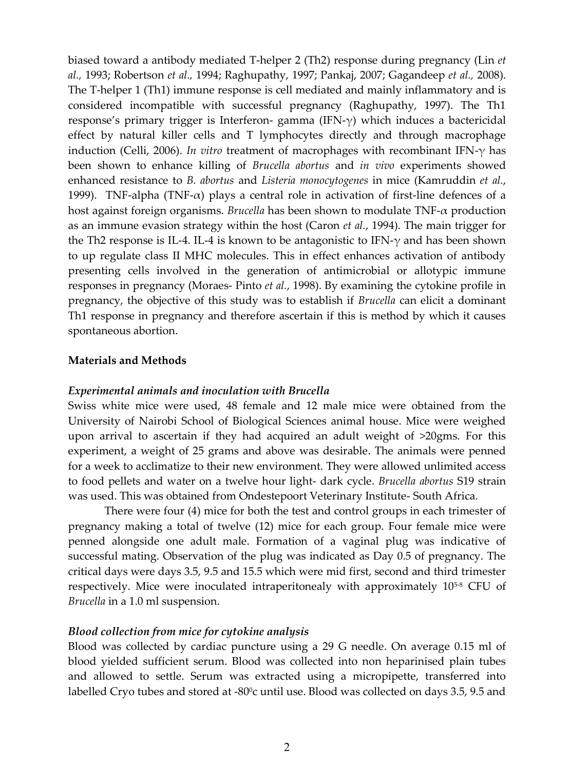biased toward a antibody mediated T-helper 2 (Th2) response during pregnancy (Lin *et al.,* 1993; Robertson *et al.,* 1994; Raghupathy, 1997; Pankaj, 2007; Gagandeep *et al.,* 2008). The T-helper 1 (Th1) immune response is cell mediated and mainly inflammatory and is considered incompatible with successful pregnancy (Raghupathy, 1997). The Th1 response's primary trigger is Interferon- gamma (IFN-γ) which induces a bactericidal effect by natural killer cells and T lymphocytes directly and through macrophage induction (Celli, 2006). *In vitro* treatment of macrophages with recombinant IFN-γ has been shown to enhance killing of *Brucella abortus* and *in vivo* experiments showed enhanced resistance to *B. abortus* and *Listeria monocytogenes* in mice (Kamruddin *et al.*, 1999). TNF-alpha (TNF- $\alpha$ ) plays a central role in activation of first-line defences of a host against foreign organisms. *Brucella* has been shown to modulate TNF-α production as an immune evasion strategy within the host (Caron *et al.*, 1994). The main trigger for the Th2 response is IL-4. IL-4 is known to be antagonistic to IFN- $\gamma$  and has been shown to up regulate class II MHC molecules. This in effect enhances activation of antibody presenting cells involved in the generation of antimicrobial or allotypic immune responses in pregnancy (Moraes- Pinto *et al.*, 1998). By examining the cytokine profile in pregnancy, the objective of this study was to establish if *Brucella* can elicit a dominant Th1 response in pregnancy and therefore ascertain if this is method by which it causes spontaneous abortion.

### **Materials and Methods**

#### *Experimental animals and inoculation with Brucella*

Swiss white mice were used, 48 female and 12 male mice were obtained from the University of Nairobi School of Biological Sciences animal house. Mice were weighed upon arrival to ascertain if they had acquired an adult weight of >20gms. For this experiment, a weight of 25 grams and above was desirable. The animals were penned for a week to acclimatize to their new environment. They were allowed unlimited access to food pellets and water on a twelve hour light- dark cycle. *Brucella abortus* S19 strain was used. This was obtained from Ondestepoort Veterinary Institute- South Africa.

There were four (4) mice for both the test and control groups in each trimester of pregnancy making a total of twelve (12) mice for each group. Four female mice were penned alongside one adult male. Formation of a vaginal plug was indicative of successful mating. Observation of the plug was indicated as Day 0.5 of pregnancy. The critical days were days 3.5, 9.5 and 15.5 which were mid first, second and third trimester respectively. Mice were inoculated intraperitonealy with approximately  $10^{5.8}$  CFU of *Brucella* in a 1.0 ml suspension.

### *Blood collection from mice for cytokine analysis*

Blood was collected by cardiac puncture using a 29 G needle. On average 0.15 ml of blood yielded sufficient serum. Blood was collected into non heparinised plain tubes and allowed to settle. Serum was extracted using a micropipette, transferred into labelled Cryo tubes and stored at -80°c until use. Blood was collected on days 3.5, 9.5 and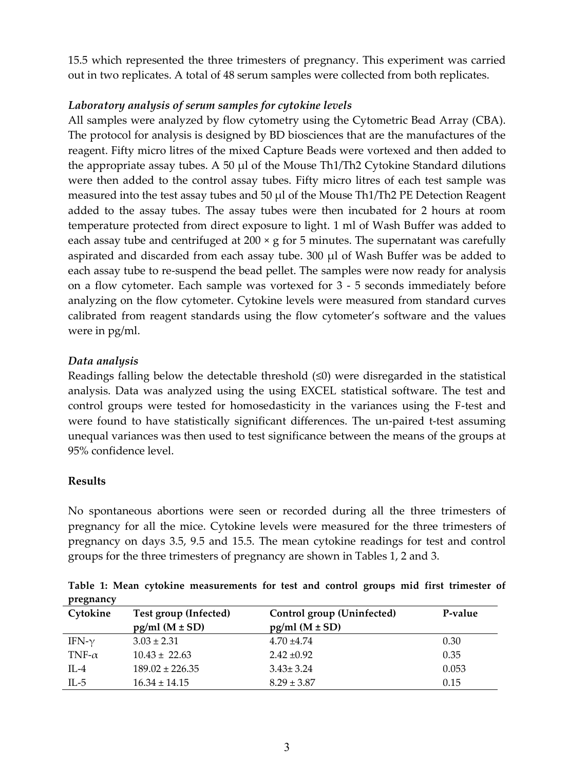15.5 which represented the three trimesters of pregnancy. This experiment was carried out in two replicates. A total of 48 serum samples were collected from both replicates.

# *Laboratory analysis of serum samples for cytokine levels*

All samples were analyzed by flow cytometry using the Cytometric Bead Array (CBA). The protocol for analysis is designed by BD biosciences that are the manufactures of the reagent. Fifty micro litres of the mixed Capture Beads were vortexed and then added to the appropriate assay tubes. A 50  $\mu$  of the Mouse Th1/Th2 Cytokine Standard dilutions were then added to the control assay tubes. Fifty micro litres of each test sample was measured into the test assay tubes and 50 µl of the Mouse Th1/Th2 PE Detection Reagent added to the assay tubes. The assay tubes were then incubated for 2 hours at room temperature protected from direct exposure to light. 1 ml of Wash Buffer was added to each assay tube and centrifuged at  $200 \times g$  for 5 minutes. The supernatant was carefully aspirated and discarded from each assay tube. 300 µl of Wash Buffer was be added to each assay tube to re-suspend the bead pellet. The samples were now ready for analysis on a flow cytometer. Each sample was vortexed for 3 - 5 seconds immediately before analyzing on the flow cytometer. Cytokine levels were measured from standard curves calibrated from reagent standards using the flow cytometer's software and the values were in pg/ml.

## *Data analysis*

Readings falling below the detectable threshold  $(\leq 0)$  were disregarded in the statistical analysis. Data was analyzed using the using EXCEL statistical software. The test and control groups were tested for homosedasticity in the variances using the F-test and were found to have statistically significant differences. The un-paired t-test assuming unequal variances was then used to test significance between the means of the groups at 95% confidence level.

# **Results**

No spontaneous abortions were seen or recorded during all the three trimesters of pregnancy for all the mice. Cytokine levels were measured for the three trimesters of pregnancy on days 3.5, 9.5 and 15.5. The mean cytokine readings for test and control groups for the three trimesters of pregnancy are shown in Tables 1, 2 and 3.

| Cytokine      | Test group (Infected)<br>$pg/ml (M \pm SD)$ | Control group (Uninfected)<br>$pg/ml (M \pm SD)$ | P-value |
|---------------|---------------------------------------------|--------------------------------------------------|---------|
| IFN- $\gamma$ | $3.03 \pm 2.31$                             | $4.70 + 4.74$                                    | 0.30    |
| TNF- $\alpha$ | $10.43 \pm 22.63$                           | $2.42 \pm 0.92$                                  | 0.35    |
| IL-4          | $189.02 \pm 226.35$                         | $3.43 \pm 3.24$                                  | 0.053   |
| IL-5          | $16.34 \pm 14.15$                           | $8.29 \pm 3.87$                                  | 0.15    |

**Table 1: Mean cytokine measurements for test and control groups mid first trimester of pregnancy**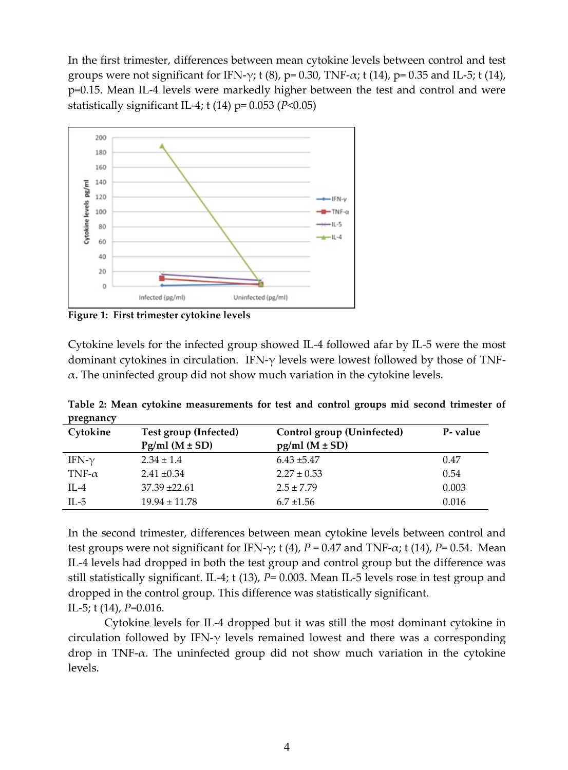In the first trimester, differences between mean cytokine levels between control and test groups were not significant for IFN- $\gamma$ ; t (8), p= 0.30, TNF- $\alpha$ ; t (14), p= 0.35 and IL-5; t (14), p=0.15. Mean IL-4 levels were markedly higher between the test and control and were statistically significant IL-4; t (14) p= 0.053 (*P*<0.05)



**Figure 1: First trimester cytokine levels**

Cytokine levels for the infected group showed IL-4 followed afar by IL-5 were the most dominant cytokines in circulation. IFN- $\gamma$  levels were lowest followed by those of TNF- $\alpha$ . The uninfected group did not show much variation in the cytokine levels.

**Table 2: Mean cytokine measurements for test and control groups mid second trimester of pregnancy**

| Cytokine      | Test group (Infected)<br>$\text{Pg/ml}$ (M $\pm$ SD) | Control group (Uninfected)<br>$pg/ml (M \pm SD)$ | P- value |
|---------------|------------------------------------------------------|--------------------------------------------------|----------|
| IFN- $\gamma$ | $2.34 \pm 1.4$                                       | $6.43 \pm 5.47$                                  | 0.47     |
| TNF- $\alpha$ | $2.41 \pm 0.34$                                      | $2.27 \pm 0.53$                                  | 0.54     |
| IL-4          | $37.39 \pm 22.61$                                    | $2.5 \pm 7.79$                                   | 0.003    |
| IL-5          | $19.94 \pm 11.78$                                    | $6.7 \pm 1.56$                                   | 0.016    |

In the second trimester, differences between mean cytokine levels between control and test groups were not significant for IFN- $\gamma$ ; t (4), *P* = 0.47 and TNF- $\alpha$ ; t (14), *P*= 0.54. Mean IL-4 levels had dropped in both the test group and control group but the difference was still statistically significant. IL-4; t (13), *P*= 0.003. Mean IL-5 levels rose in test group and dropped in the control group. This difference was statistically significant. IL-5; t (14), *P*=0.016.

Cytokine levels for IL-4 dropped but it was still the most dominant cytokine in circulation followed by IFN- $\gamma$  levels remained lowest and there was a corresponding drop in TNF-α. The uninfected group did not show much variation in the cytokine levels.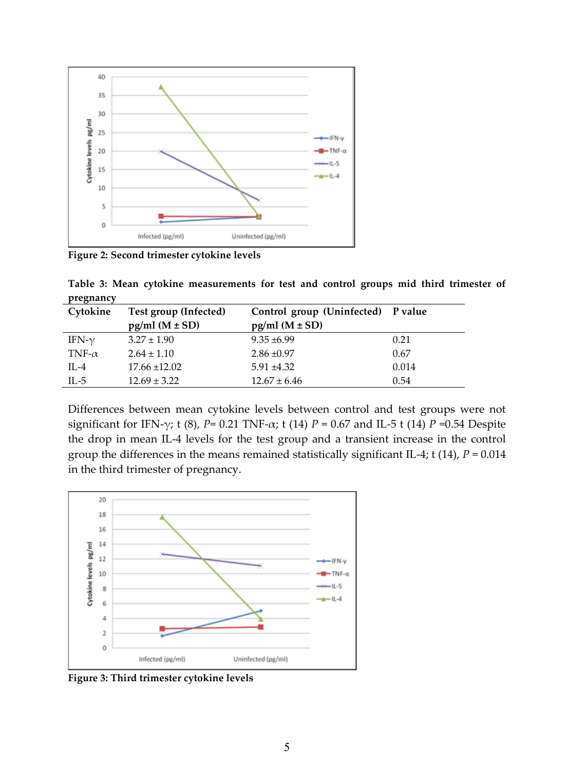

**Figure 2: Second trimester cytokine levels**

**Table 3: Mean cytokine measurements for test and control groups mid third trimester of pregnancy**

| Cytokine      | Test group (Infected) | Control group (Uninfected) P value |       |
|---------------|-----------------------|------------------------------------|-------|
|               | $pg/ml (M \pm SD)$    | $pg/ml (M \pm SD)$                 |       |
| IFN- $\gamma$ | $3.27 \pm 1.90$       | $9.35 \pm 6.99$                    | 0.21  |
| TNF- $\alpha$ | $2.64 \pm 1.10$       | $2.86 \pm 0.97$                    | 0.67  |
| $IL-4$        | $17.66 \pm 12.02$     | $5.91 \pm 4.32$                    | 0.014 |
| IL-5          | $12.69 \pm 3.22$      | $12.67 \pm 6.46$                   | 0.54  |

Differences between mean cytokine levels between control and test groups were not significant for IFN- $\gamma$ ; t (8), *P*= 0.21 TNF- $\alpha$ ; t (14) *P* = 0.67 and IL-5 t (14) *P* = 0.54 Despite the drop in mean IL-4 levels for the test group and a transient increase in the control group the differences in the means remained statistically significant IL-4; t (14), *P* = 0.014 in the third trimester of pregnancy.



**Figure 3: Third trimester cytokine levels**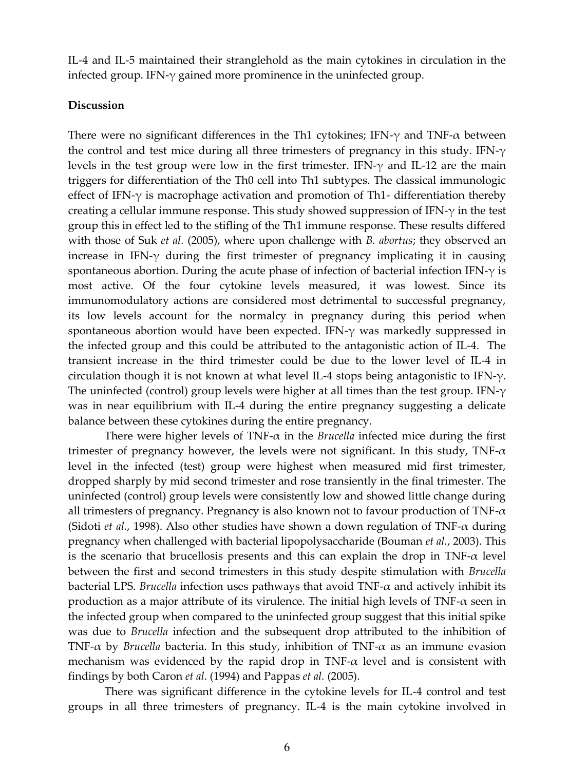IL-4 and IL-5 maintained their stranglehold as the main cytokines in circulation in the infected group. IFN-γ gained more prominence in the uninfected group.

### **Discussion**

There were no significant differences in the Th1 cytokines; IFN- $\gamma$  and TNF- $\alpha$  between the control and test mice during all three trimesters of pregnancy in this study. IFN- $\gamma$ levels in the test group were low in the first trimester. IFN-γ and IL-12 are the main triggers for differentiation of the Th0 cell into Th1 subtypes. The classical immunologic effect of IFN- $\gamma$  is macrophage activation and promotion of Th1- differentiation thereby creating a cellular immune response. This study showed suppression of IFN-γ in the test group this in effect led to the stifling of the Th1 immune response. These results differed with those of Suk *et al.* (2005), where upon challenge with *B. abortus*; they observed an increase in IFN- $\gamma$  during the first trimester of pregnancy implicating it in causing spontaneous abortion. During the acute phase of infection of bacterial infection IFN- $\gamma$  is most active. Of the four cytokine levels measured, it was lowest. Since its immunomodulatory actions are considered most detrimental to successful pregnancy, its low levels account for the normalcy in pregnancy during this period when spontaneous abortion would have been expected. IFN- $\gamma$  was markedly suppressed in the infected group and this could be attributed to the antagonistic action of IL-4. The transient increase in the third trimester could be due to the lower level of IL-4 in circulation though it is not known at what level IL-4 stops being antagonistic to IFN- $\gamma$ . The uninfected (control) group levels were higher at all times than the test group. IFN- $\gamma$ was in near equilibrium with IL-4 during the entire pregnancy suggesting a delicate balance between these cytokines during the entire pregnancy.

There were higher levels of TNF- $\alpha$  in the *Brucella* infected mice during the first trimester of pregnancy however, the levels were not significant. In this study, TNF- $\alpha$ level in the infected (test) group were highest when measured mid first trimester, dropped sharply by mid second trimester and rose transiently in the final trimester. The uninfected (control) group levels were consistently low and showed little change during all trimesters of pregnancy. Pregnancy is also known not to favour production of TNF- $\alpha$ (Sidoti *et al.*, 1998). Also other studies have shown a down regulation of TNF-α during pregnancy when challenged with bacterial lipopolysaccharide (Bouman *et al.*, 2003). This is the scenario that brucellosis presents and this can explain the drop in  $TNF-\alpha$  level between the first and second trimesters in this study despite stimulation with *Brucella* bacterial LPS. *Brucella* infection uses pathways that avoid  $TNF-\alpha$  and actively inhibit its production as a major attribute of its virulence. The initial high levels of TNF- $\alpha$  seen in the infected group when compared to the uninfected group suggest that this initial spike was due to *Brucella* infection and the subsequent drop attributed to the inhibition of TNF- $\alpha$  by *Brucella* bacteria. In this study, inhibition of TNF- $\alpha$  as an immune evasion mechanism was evidenced by the rapid drop in TNF- $\alpha$  level and is consistent with findings by both Caron *et al.* (1994) and Pappas *et al.* (2005).

There was significant difference in the cytokine levels for IL-4 control and test groups in all three trimesters of pregnancy. IL-4 is the main cytokine involved in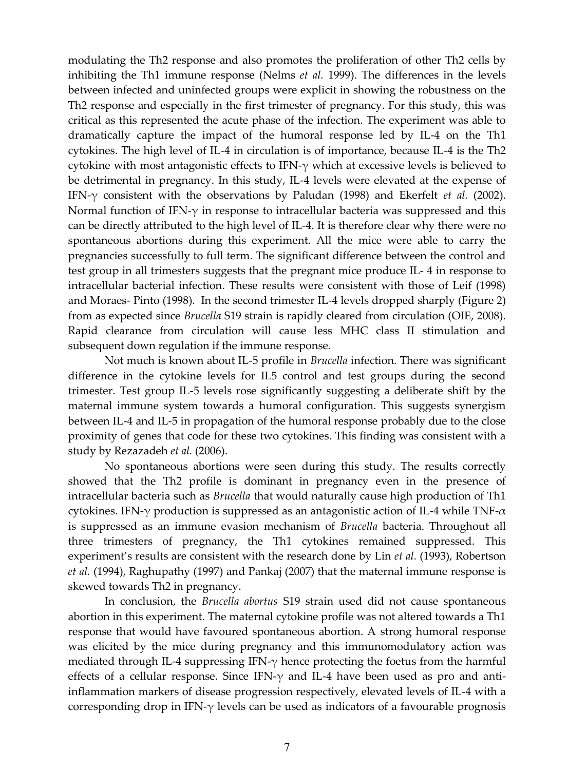modulating the Th2 response and also promotes the proliferation of other Th2 cells by inhibiting the Th1 immune response (Nelms *et al.* 1999). The differences in the levels between infected and uninfected groups were explicit in showing the robustness on the Th2 response and especially in the first trimester of pregnancy. For this study, this was critical as this represented the acute phase of the infection. The experiment was able to dramatically capture the impact of the humoral response led by IL-4 on the Th1 cytokines. The high level of IL-4 in circulation is of importance, because IL-4 is the Th2 cytokine with most antagonistic effects to IFN-γ which at excessive levels is believed to be detrimental in pregnancy. In this study, IL-4 levels were elevated at the expense of IFN-γ consistent with the observations by Paludan (1998) and Ekerfelt *et al.* (2002). Normal function of IFN- $\gamma$  in response to intracellular bacteria was suppressed and this can be directly attributed to the high level of IL-4. It is therefore clear why there were no spontaneous abortions during this experiment. All the mice were able to carry the pregnancies successfully to full term. The significant difference between the control and test group in all trimesters suggests that the pregnant mice produce IL- 4 in response to intracellular bacterial infection. These results were consistent with those of Leif (1998) and Moraes- Pinto (1998). In the second trimester IL-4 levels dropped sharply (Figure 2) from as expected since *Brucella* S19 strain is rapidly cleared from circulation (OIE, 2008). Rapid clearance from circulation will cause less MHC class II stimulation and subsequent down regulation if the immune response.

Not much is known about IL-5 profile in *Brucella* infection. There was significant difference in the cytokine levels for IL5 control and test groups during the second trimester. Test group IL-5 levels rose significantly suggesting a deliberate shift by the maternal immune system towards a humoral configuration. This suggests synergism between IL-4 and IL-5 in propagation of the humoral response probably due to the close proximity of genes that code for these two cytokines. This finding was consistent with a study by Rezazadeh *et al.* (2006).

No spontaneous abortions were seen during this study. The results correctly showed that the Th2 profile is dominant in pregnancy even in the presence of intracellular bacteria such as *Brucella* that would naturally cause high production of Th1 cytokines. IFN- $\gamma$  production is suppressed as an antagonistic action of IL-4 while TNF- $\alpha$ is suppressed as an immune evasion mechanism of *Brucella* bacteria. Throughout all three trimesters of pregnancy, the Th1 cytokines remained suppressed. This experiment's results are consistent with the research done by Lin *et al.* (1993), Robertson *et al.* (1994), Raghupathy (1997) and Pankaj (2007) that the maternal immune response is skewed towards Th2 in pregnancy.

In conclusion, the *Brucella abortus* S19 strain used did not cause spontaneous abortion in this experiment. The maternal cytokine profile was not altered towards a Th1 response that would have favoured spontaneous abortion. A strong humoral response was elicited by the mice during pregnancy and this immunomodulatory action was mediated through IL-4 suppressing IFN- $\gamma$  hence protecting the foetus from the harmful effects of a cellular response. Since IFN- $\gamma$  and IL-4 have been used as pro and antiinflammation markers of disease progression respectively, elevated levels of IL-4 with a corresponding drop in IFN-γ levels can be used as indicators of a favourable prognosis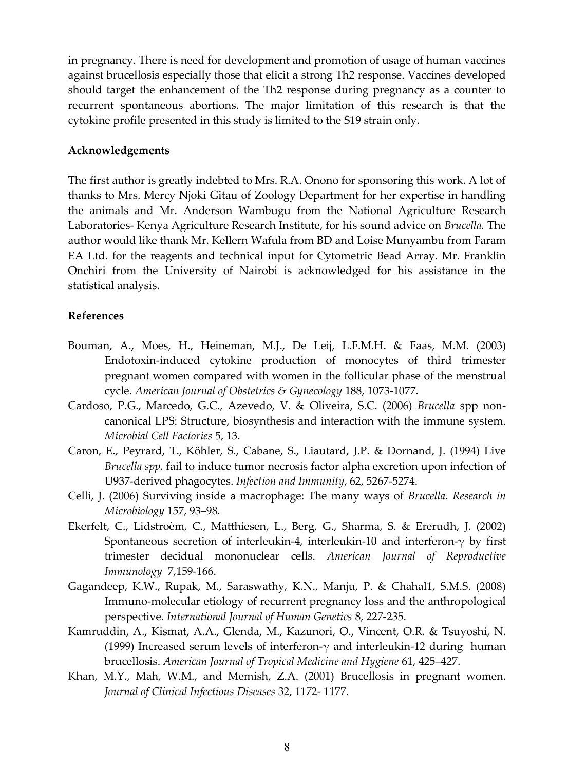in pregnancy. There is need for development and promotion of usage of human vaccines against brucellosis especially those that elicit a strong Th2 response. Vaccines developed should target the enhancement of the Th2 response during pregnancy as a counter to recurrent spontaneous abortions. The major limitation of this research is that the cytokine profile presented in this study is limited to the S19 strain only.

#### **Acknowledgements**

The first author is greatly indebted to Mrs. R.A. Onono for sponsoring this work. A lot of thanks to Mrs. Mercy Njoki Gitau of Zoology Department for her expertise in handling the animals and Mr. Anderson Wambugu from the National Agriculture Research Laboratories- Kenya Agriculture Research Institute, for his sound advice on *Brucella.* The author would like thank Mr. Kellern Wafula from BD and Loise Munyambu from Faram EA Ltd. for the reagents and technical input for Cytometric Bead Array. Mr. Franklin Onchiri from the University of Nairobi is acknowledged for his assistance in the statistical analysis.

### **References**

- Bouman, A., Moes, H., Heineman, M.J., De Leij, L.F.M.H. & Faas, M.M. (2003) Endotoxin-induced cytokine production of monocytes of third trimester pregnant women compared with women in the follicular phase of the menstrual cycle. *American Journal of Obstetrics & Gynecology* 188, 1073-1077.
- Cardoso, P.G., Marcedo, G.C., Azevedo, V. & Oliveira, S.C. (2006) *Brucella* spp noncanonical LPS: Structure, biosynthesis and interaction with the immune system. *Microbial Cell Factories* 5, 13.
- Caron, E., Peyrard, T., Köhler, S., Cabane, S., Liautard, J.P. & Dornand, J. (1994) Live *Brucella spp.* fail to induce tumor necrosis factor alpha excretion upon infection of U937-derived phagocytes. *Infection and Immunity*, 62, 5267-5274.
- Celli, J. (2006) Surviving inside a macrophage: The many ways of *Brucella*. *Research in Microbiology* 157, 93–98.
- Ekerfelt, C., Lidstroèm, C., Matthiesen, L., Berg, G., Sharma, S. & Ererudh, J. (2002) Spontaneous secretion of interleukin-4, interleukin-10 and interferon-γ by first trimester decidual mononuclear cells. *American Journal of Reproductive Immunology* 7,159-166.
- Gagandeep, K.W., Rupak, M., Saraswathy, K.N., Manju, P. & Chahal1, S.M.S. (2008) Immuno-molecular etiology of recurrent pregnancy loss and the anthropological perspective. *International Journal of Human Genetics* 8, 227-235.
- Kamruddin, A., Kismat, A.A., Glenda, M., Kazunori, O., Vincent, O.R. & Tsuyoshi, N. (1999) Increased serum levels of interferon- $\gamma$  and interleukin-12 during human brucellosis. *American Journal of Tropical Medicine and Hygiene* 61, 425–427.
- Khan, M.Y., Mah, W.M., and Memish, Z.A. (2001) Brucellosis in pregnant women. *Journal of Clinical Infectious Diseases* 32, 1172- 1177.